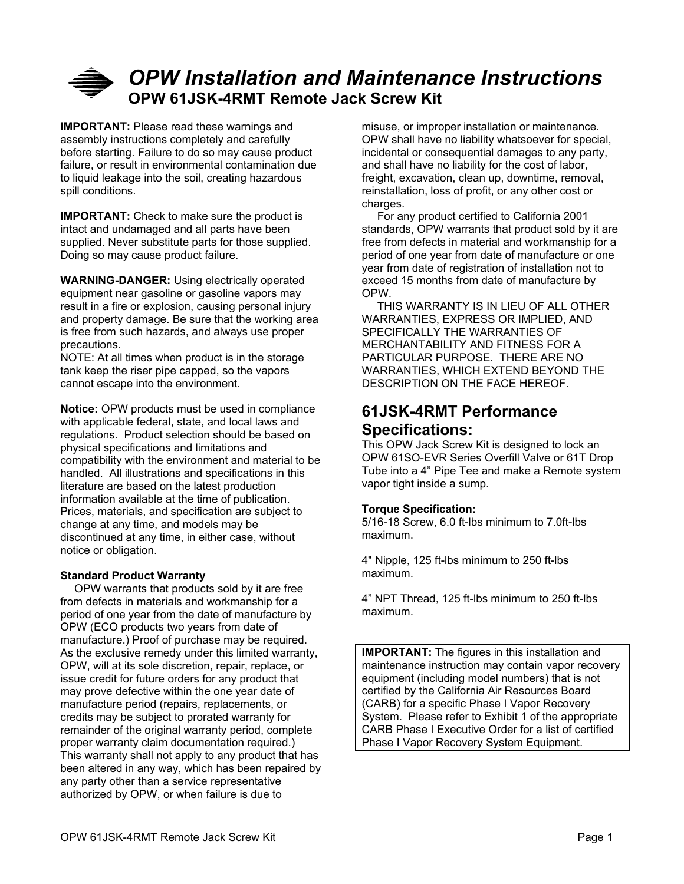# *OPW Installation and Maintenance Instructions* **OPW 61JSK-4RMT Remote Jack Screw Kit**

**IMPORTANT:** Please read these warnings and assembly instructions completely and carefully before starting. Failure to do so may cause product failure, or result in environmental contamination due to liquid leakage into the soil, creating hazardous spill conditions.

**IMPORTANT:** Check to make sure the product is intact and undamaged and all parts have been supplied. Never substitute parts for those supplied. Doing so may cause product failure.

**WARNING-DANGER:** Using electrically operated equipment near gasoline or gasoline vapors may result in a fire or explosion, causing personal injury and property damage. Be sure that the working area is free from such hazards, and always use proper precautions.

NOTE: At all times when product is in the storage tank keep the riser pipe capped, so the vapors cannot escape into the environment.

**Notice:** OPW products must be used in compliance with applicable federal, state, and local laws and regulations. Product selection should be based on physical specifications and limitations and compatibility with the environment and material to be handled. All illustrations and specifications in this literature are based on the latest production information available at the time of publication. Prices, materials, and specification are subject to change at any time, and models may be discontinued at any time, in either case, without notice or obligation.

### **Standard Product Warranty**

 OPW warrants that products sold by it are free from defects in materials and workmanship for a period of one year from the date of manufacture by OPW (ECO products two years from date of manufacture.) Proof of purchase may be required. As the exclusive remedy under this limited warranty, OPW, will at its sole discretion, repair, replace, or issue credit for future orders for any product that may prove defective within the one year date of manufacture period (repairs, replacements, or credits may be subject to prorated warranty for remainder of the original warranty period, complete proper warranty claim documentation required.) This warranty shall not apply to any product that has been altered in any way, which has been repaired by any party other than a service representative authorized by OPW, or when failure is due to

misuse, or improper installation or maintenance. OPW shall have no liability whatsoever for special, incidental or consequential damages to any party, and shall have no liability for the cost of labor, freight, excavation, clean up, downtime, removal, reinstallation, loss of profit, or any other cost or charges.

 For any product certified to California 2001 standards, OPW warrants that product sold by it are free from defects in material and workmanship for a period of one year from date of manufacture or one year from date of registration of installation not to exceed 15 months from date of manufacture by OPW.

 THIS WARRANTY IS IN LIEU OF ALL OTHER WARRANTIES, EXPRESS OR IMPLIED, AND SPECIFICALLY THE WARRANTIES OF MERCHANTABILITY AND FITNESS FOR A PARTICULAR PURPOSE. THERE ARE NO WARRANTIES, WHICH EXTEND BEYOND THE DESCRIPTION ON THE FACE HEREOF.

## **61JSK-4RMT Performance Specifications:**

This OPW Jack Screw Kit is designed to lock an OPW 61SO-EVR Series Overfill Valve or 61T Drop Tube into a 4" Pipe Tee and make a Remote system vapor tight inside a sump.

### **Torque Specification:**

5/16-18 Screw, 6.0 ft-lbs minimum to 7.0ft-lbs maximum.

4" Nipple, 125 ft-lbs minimum to 250 ft-lbs maximum.

4" NPT Thread, 125 ft-lbs minimum to 250 ft-lbs maximum.

**IMPORTANT:** The figures in this installation and maintenance instruction may contain vapor recovery equipment (including model numbers) that is not certified by the California Air Resources Board (CARB) for a specific Phase I Vapor Recovery System. Please refer to Exhibit 1 of the appropriate CARB Phase I Executive Order for a list of certified Phase I Vapor Recovery System Equipment.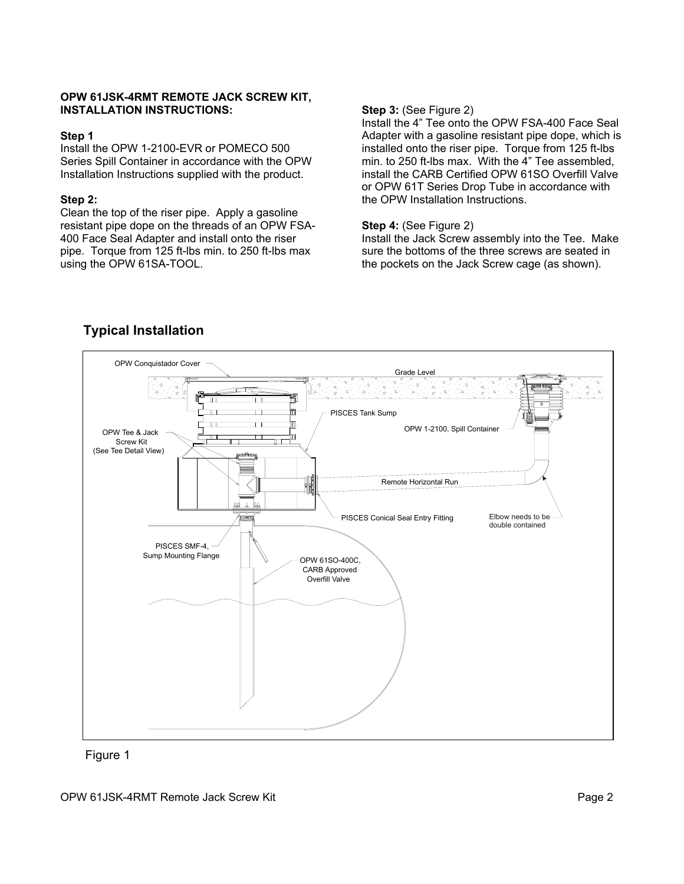#### **OPW 61JSK-4RMT REMOTE JACK SCREW KIT, INSTALLATION INSTRUCTIONS:** Step 3: (See Figure 2)

#### **Step 1**

Install the OPW 1-2100-EVR or POMECO 500 Series Spill Container in accordance with the OPW Installation Instructions supplied with the product.

#### **Step 2:**

Clean the top of the riser pipe. Apply a gasoline resistant pipe dope on the threads of an OPW FSA-400 Face Seal Adapter and install onto the riser pipe. Torque from 125 ft-lbs min. to 250 ft-lbs max using the OPW 61SA-TOOL.

Install the 4" Tee onto the OPW FSA-400 Face Seal Adapter with a gasoline resistant pipe dope, which is installed onto the riser pipe. Torque from 125 ft-lbs min. to 250 ft-lbs max. With the 4" Tee assembled, install the CARB Certified OPW 61SO Overfill Valve or OPW 61T Series Drop Tube in accordance with the OPW Installation Instructions.

#### **Step 4:** (See Figure 2)

Install the Jack Screw assembly into the Tee. Make sure the bottoms of the three screws are seated in the pockets on the Jack Screw cage (as shown).



## **Typical Installation**

Figure 1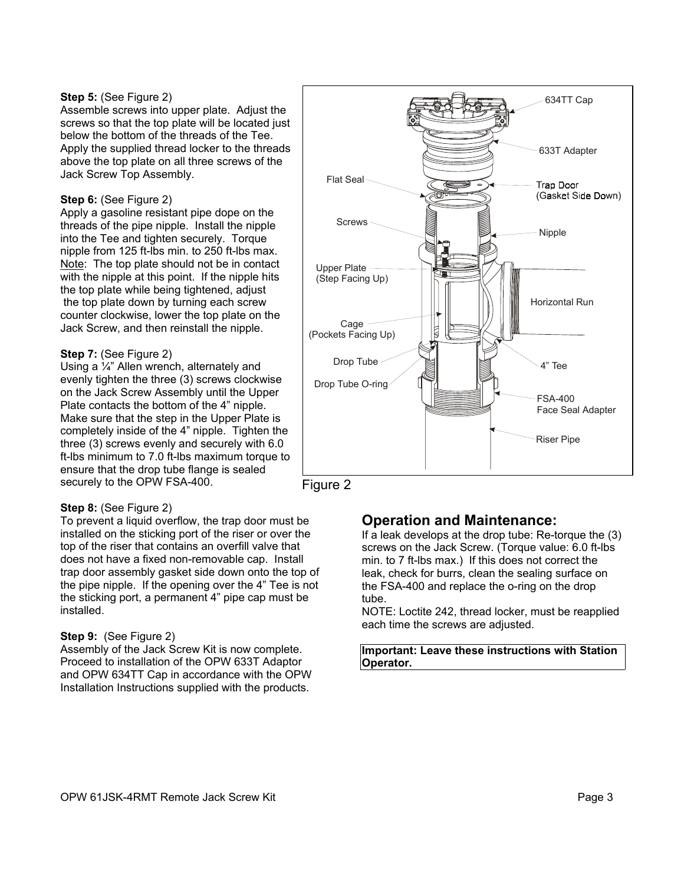#### **Step 5:** (See Figure 2)

Assemble screws into upper plate. Adjust the screws so that the top plate will be located just below the bottom of the threads of the Tee. Apply the supplied thread locker to the threads above the top plate on all three screws of the Jack Screw Top Assembly.

#### **Step 6:** (See Figure 2)

Apply a gasoline resistant pipe dope on the threads of the pipe nipple. Install the nipple into the Tee and tighten securely. Torque nipple from 125 ft-lbs min. to 250 ft-lbs max. Note: The top plate should not be in contact with the nipple at this point. If the nipple hits the top plate while being tightened, adjust the top plate down by turning each screw counter clockwise, lower the top plate on the Jack Screw, and then reinstall the nipple.

### **Step 7:** (See Figure 2)

Using a ¼" Allen wrench, alternately and evenly tighten the three (3) screws clockwise on the Jack Screw Assembly until the Upper Plate contacts the bottom of the 4" nipple. Make sure that the step in the Upper Plate is completely inside of the 4" nipple. Tighten the three (3) screws evenly and securely with 6.0 ft-lbs minimum to 7.0 ft-lbs maximum torque to ensure that the drop tube flange is sealed securely to the OPW FSA-400.

### **Step 8:** (See Figure 2)

To prevent a liquid overflow, the trap door must be **Operation and Maintenance:** installed on the sticking port of the riser or over the top of the riser that contains an overfill valve that does not have a fixed non-removable cap. Install trap door assembly gasket side down onto the top of the pipe nipple. If the opening over the 4" Tee is not the sticking port, a permanent 4" pipe cap must be installed.

#### **Step 9:** (See Figure 2)

Assembly of the Jack Screw Kit is now complete. Proceed to installation of the OPW 633T Adaptor and OPW 634TT Cap in accordance with the OPW Installation Instructions supplied with the products.





If a leak develops at the drop tube: Re-torque the (3) screws on the Jack Screw. (Torque value: 6.0 ft-lbs min. to 7 ft-lbs max.) If this does not correct the leak, check for burrs, clean the sealing surface on the FSA-400 and replace the o-ring on the drop tube.

NOTE: Loctite 242, thread locker, must be reapplied each time the screws are adjusted.

**Important: Leave these instructions with Station Operator.**